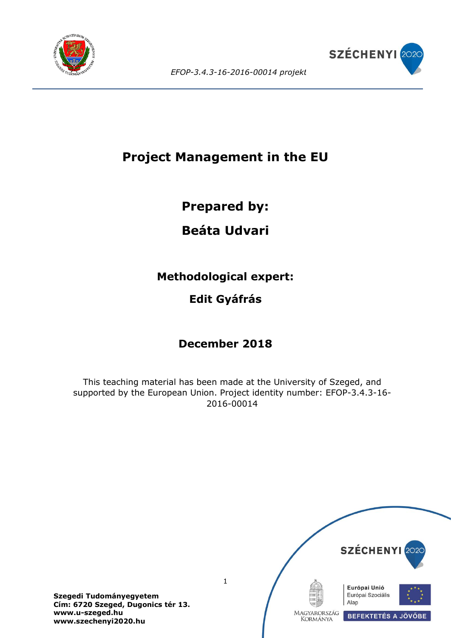



# **Project Management in the EU**

## **Prepared by:**

# **Beáta Udvari**

**Methodological expert:**

## **Edit Gyáfrás**

# **December 2018**

This teaching material has been made at the University of Szeged, and supported by the European Union. Project identity number: EFOP-3.4.3-16- 2016-00014



**Szegedi Tudományegyetem Cím: 6720 Szeged, Dugonics tér 13. www.u-szeged.hu www.szechenyi2020.hu**

1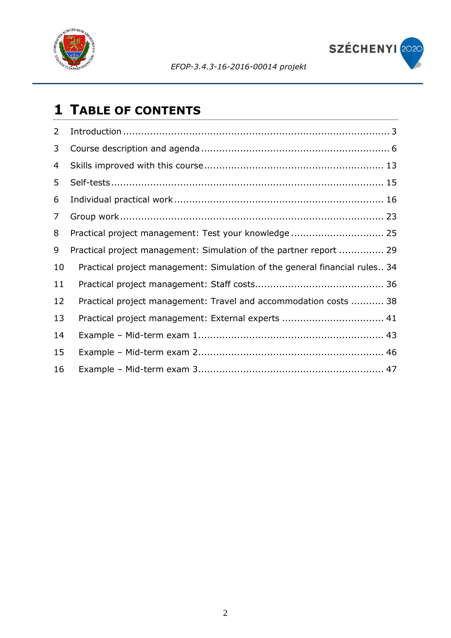

SZÉCHENYI 2020

# **TABLE OF CONTENTS**

| 2  |                                                                            |
|----|----------------------------------------------------------------------------|
| 3  |                                                                            |
| 4  |                                                                            |
| 5  |                                                                            |
| 6  |                                                                            |
| 7  |                                                                            |
| 8  | Practical project management: Test your knowledge  25                      |
| 9  | Practical project management: Simulation of the partner report  29         |
| 10 | Practical project management: Simulation of the general financial rules 34 |
| 11 |                                                                            |
| 12 | Practical project management: Travel and accommodation costs  38           |
| 13 | Practical project management: External experts  41                         |
| 14 |                                                                            |
| 15 |                                                                            |
| 16 |                                                                            |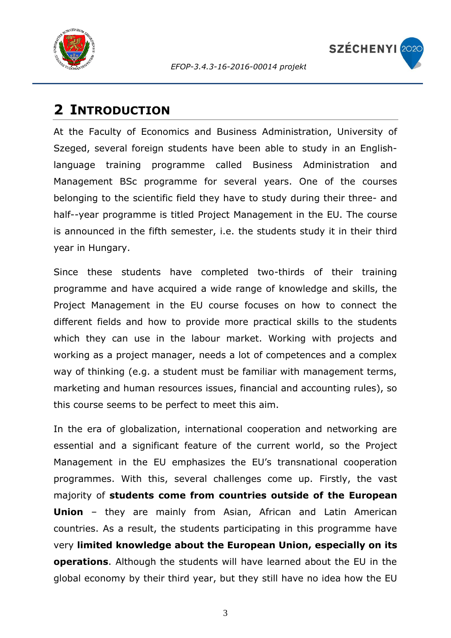



## <span id="page-2-0"></span>**2 INTRODUCTION**

At the Faculty of Economics and Business Administration, University of Szeged, several foreign students have been able to study in an Englishlanguage training programme called Business Administration and Management BSc programme for several years. One of the courses belonging to the scientific field they have to study during their three- and half--year programme is titled Project Management in the EU. The course is announced in the fifth semester, i.e. the students study it in their third year in Hungary.

Since these students have completed two-thirds of their training programme and have acquired a wide range of knowledge and skills, the Project Management in the EU course focuses on how to connect the different fields and how to provide more practical skills to the students which they can use in the labour market. Working with projects and working as a project manager, needs a lot of competences and a complex way of thinking (e.g. a student must be familiar with management terms, marketing and human resources issues, financial and accounting rules), so this course seems to be perfect to meet this aim.

In the era of globalization, international cooperation and networking are essential and a significant feature of the current world, so the Project Management in the EU emphasizes the EU's transnational cooperation programmes. With this, several challenges come up. Firstly, the vast majority of **students come from countries outside of the European Union** – they are mainly from Asian, African and Latin American countries. As a result, the students participating in this programme have very **limited knowledge about the European Union, especially on its operations**. Although the students will have learned about the EU in the global economy by their third year, but they still have no idea how the EU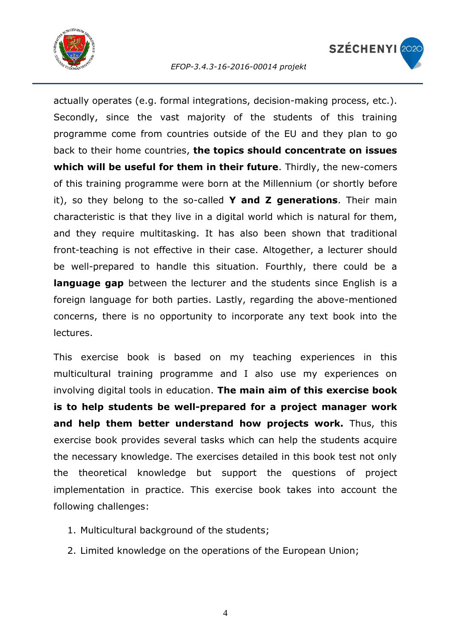



actually operates (e.g. formal integrations, decision-making process, etc.). Secondly, since the vast majority of the students of this training programme come from countries outside of the EU and they plan to go back to their home countries, **the topics should concentrate on issues which will be useful for them in their future**. Thirdly, the new-comers of this training programme were born at the Millennium (or shortly before it), so they belong to the so-called **Y and Z generations**. Their main characteristic is that they live in a digital world which is natural for them, and they require multitasking. It has also been shown that traditional front-teaching is not effective in their case. Altogether, a lecturer should be well-prepared to handle this situation. Fourthly, there could be a **language gap** between the lecturer and the students since English is a foreign language for both parties. Lastly, regarding the above-mentioned concerns, there is no opportunity to incorporate any text book into the lectures.

This exercise book is based on my teaching experiences in this multicultural training programme and I also use my experiences on involving digital tools in education. **The main aim of this exercise book is to help students be well-prepared for a project manager work and help them better understand how projects work.** Thus, this exercise book provides several tasks which can help the students acquire the necessary knowledge. The exercises detailed in this book test not only the theoretical knowledge but support the questions of project implementation in practice. This exercise book takes into account the following challenges:

- 1. Multicultural background of the students;
- 2. Limited knowledge on the operations of the European Union;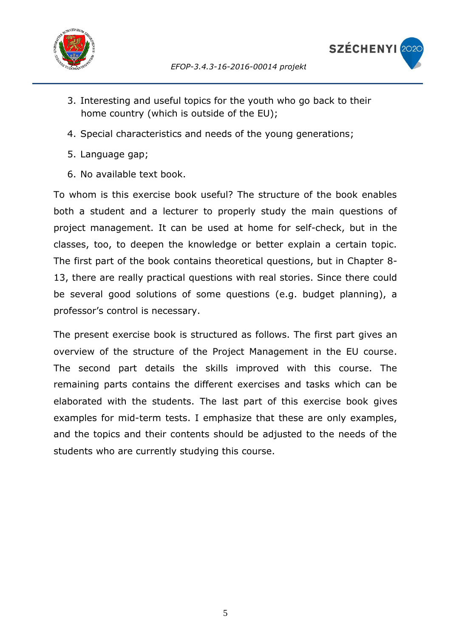



- 3. Interesting and useful topics for the youth who go back to their home country (which is outside of the EU);
- 4. Special characteristics and needs of the young generations;
- 5. Language gap;
- 6. No available text book.

To whom is this exercise book useful? The structure of the book enables both a student and a lecturer to properly study the main questions of project management. It can be used at home for self-check, but in the classes, too, to deepen the knowledge or better explain a certain topic. The first part of the book contains theoretical questions, but in Chapter 8- 13, there are really practical questions with real stories. Since there could be several good solutions of some questions (e.g. budget planning), a professor's control is necessary.

The present exercise book is structured as follows. The first part gives an overview of the structure of the Project Management in the EU course. The second part details the skills improved with this course. The remaining parts contains the different exercises and tasks which can be elaborated with the students. The last part of this exercise book gives examples for mid-term tests. I emphasize that these are only examples, and the topics and their contents should be adjusted to the needs of the students who are currently studying this course.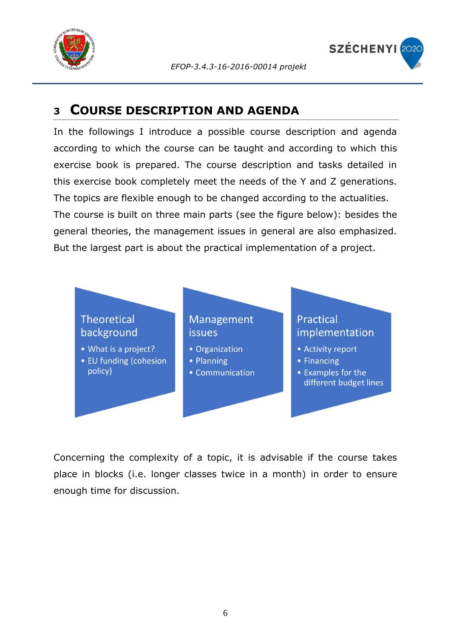



### <span id="page-5-0"></span>**<sup>3</sup> COURSE DESCRIPTION AND AGENDA**

In the followings I introduce a possible course description and agenda according to which the course can be taught and according to which this exercise book is prepared. The course description and tasks detailed in this exercise book completely meet the needs of the Y and Z generations. The topics are flexible enough to be changed according to the actualities. The course is built on three main parts (see the figure below): besides the general theories, the management issues in general are also emphasized. But the largest part is about the practical implementation of a project.



Concerning the complexity of a topic, it is advisable if the course takes place in blocks (i.e. longer classes twice in a month) in order to ensure enough time for discussion.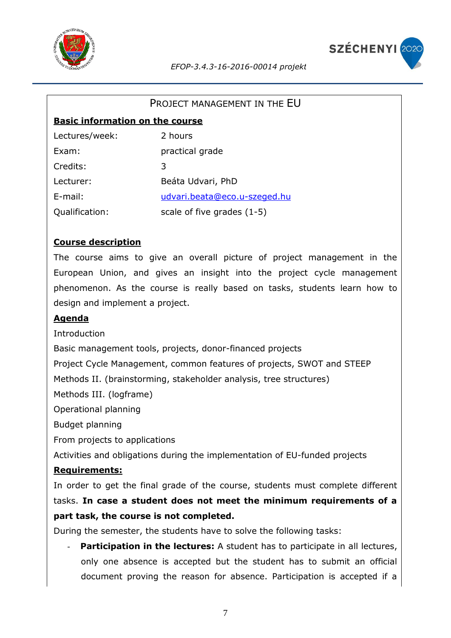



#### PROJECT MANAGEMENT IN THE EU

#### **Basic information on the course**

| Lectures/week: | 2 hours                      |
|----------------|------------------------------|
| Exam:          | practical grade              |
| Credits:       | 3                            |
| Lecturer:      | Beáta Udvari, PhD            |
| $E$ -mail:     | udvari.beata@eco.u-szeged.hu |
| Qualification: | scale of five grades $(1-5)$ |

#### **Course description**

The course aims to give an overall picture of project management in the European Union, and gives an insight into the project cycle management phenomenon. As the course is really based on tasks, students learn how to design and implement a project.

#### **Agenda**

Introduction

Basic management tools, projects, donor-financed projects

Project Cycle Management, common features of projects, SWOT and STEEP

Methods II. (brainstorming, stakeholder analysis, tree structures)

Methods III. (logframe)

Operational planning

Budget planning

From projects to applications

Activities and obligations during the implementation of EU-funded projects

#### **Requirements:**

In order to get the final grade of the course, students must complete different tasks. **In case a student does not meet the minimum requirements of a part task, the course is not completed.**

During the semester, the students have to solve the following tasks:

**Participation in the lectures:** A student has to participate in all lectures, only one absence is accepted but the student has to submit an official document proving the reason for absence. Participation is accepted if a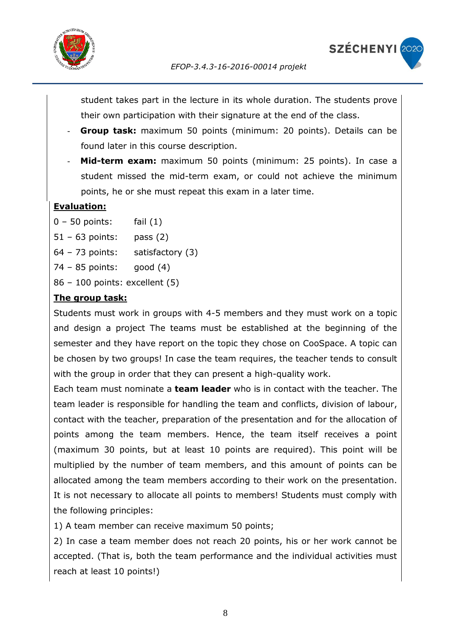



student takes part in the lecture in its whole duration. The students prove their own participation with their signature at the end of the class.

- **Group task:** maximum 50 points (minimum: 20 points). Details can be found later in this course description.
- Mid-term exam: maximum 50 points (minimum: 25 points). In case a student missed the mid-term exam, or could not achieve the minimum points, he or she must repeat this exam in a later time.

### **Evaluation:**

- $0 50$  points: fail  $(1)$
- 51 63 points: pass (2)
- 64 73 points: satisfactory (3)
- 74 85 points: good (4)
- 86 100 points: excellent (5)

### **The group task:**

Students must work in groups with 4-5 members and they must work on a topic and design a project The teams must be established at the beginning of the semester and they have report on the topic they chose on CooSpace. A topic can be chosen by two groups! In case the team requires, the teacher tends to consult with the group in order that they can present a high-quality work.

Each team must nominate a **team leader** who is in contact with the teacher. The team leader is responsible for handling the team and conflicts, division of labour, contact with the teacher, preparation of the presentation and for the allocation of points among the team members. Hence, the team itself receives a point (maximum 30 points, but at least 10 points are required). This point will be multiplied by the number of team members, and this amount of points can be allocated among the team members according to their work on the presentation. It is not necessary to allocate all points to members! Students must comply with the following principles:

1) A team member can receive maximum 50 points;

2) In case a team member does not reach 20 points, his or her work cannot be accepted. (That is, both the team performance and the individual activities must reach at least 10 points!)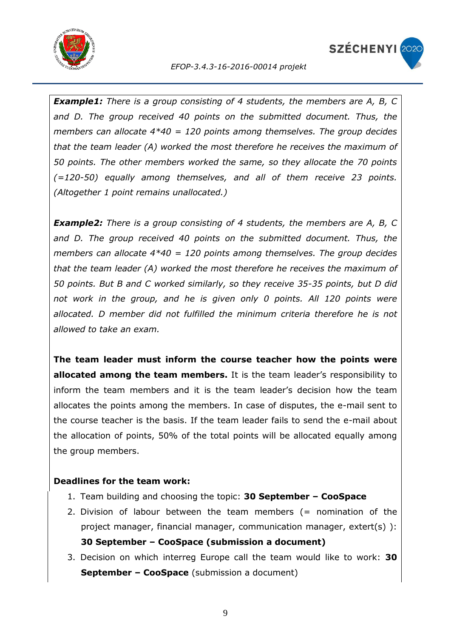



*Example1: There is a group consisting of 4 students, the members are A, B, C and D. The group received 40 points on the submitted document. Thus, the members can allocate 4\*40 = 120 points among themselves. The group decides that the team leader (A) worked the most therefore he receives the maximum of 50 points. The other members worked the same, so they allocate the 70 points (=120-50) equally among themselves, and all of them receive 23 points. (Altogether 1 point remains unallocated.)*

*Example2: There is a group consisting of 4 students, the members are A, B, C and D. The group received 40 points on the submitted document. Thus, the members can allocate 4\*40 = 120 points among themselves. The group decides that the team leader (A) worked the most therefore he receives the maximum of 50 points. But B and C worked similarly, so they receive 35-35 points, but D did not work in the group, and he is given only 0 points. All 120 points were allocated. D member did not fulfilled the minimum criteria therefore he is not allowed to take an exam.*

**The team leader must inform the course teacher how the points were allocated among the team members.** It is the team leader's responsibility to inform the team members and it is the team leader's decision how the team allocates the points among the members. In case of disputes, the e-mail sent to the course teacher is the basis. If the team leader fails to send the e-mail about the allocation of points, 50% of the total points will be allocated equally among the group members.

### **Deadlines for the team work:**

- 1. Team building and choosing the topic: **30 September – CooSpace**
- 2. Division of labour between the team members (= nomination of the project manager, financial manager, communication manager, extert(s) ): **30 September – CooSpace (submission a document)**
- 3. Decision on which interreg Europe call the team would like to work: **30 September – CooSpace** (submission a document)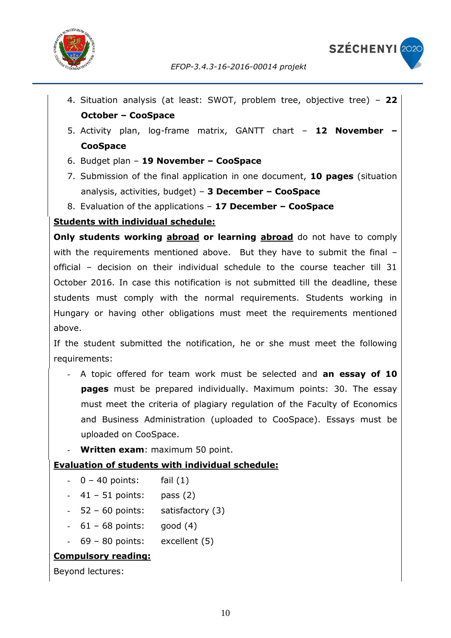

- 4. Situation analysis (at least: SWOT, problem tree, objective tree) **22 October – CooSpace**
- 5. Activity plan, log-frame matrix, GANTT chart **12 November – CooSpace**
- 6. Budget plan **19 November – CooSpace**
- 7. Submission of the final application in one document, **10 pages** (situation analysis, activities, budget) – **3 December – CooSpace**
- 8. Evaluation of the applications **17 December – CooSpace**

### **Students with individual schedule:**

**Only students working abroad or learning abroad** do not have to comply with the requirements mentioned above. But they have to submit the final official – decision on their individual schedule to the course teacher till 31 October 2016. In case this notification is not submitted till the deadline, these students must comply with the normal requirements. Students working in Hungary or having other obligations must meet the requirements mentioned above.

If the student submitted the notification, he or she must meet the following requirements:

- A topic offered for team work must be selected and **an essay of 10 pages** must be prepared individually. Maximum points: 30. The essay must meet the criteria of plagiary regulation of the Faculty of Economics and Business Administration (uploaded to CooSpace). Essays must be uploaded on CooSpace.
- **Written exam**: maximum 50 point.

### **Evaluation of students with individual schedule:**

- $0 40$  points: fail  $(1)$
- $41 51$  points: pass  $(2)$
- $-52 60$  points: satisfactory  $(3)$
- $-61 68$  points: good  $(4)$
- $69 80$  points: excellent  $(5)$

### **Compulsory reading:**

Beyond lectures: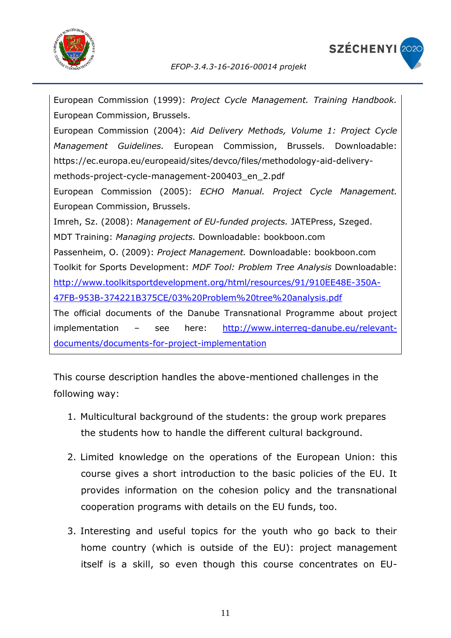



European Commission (1999): *Project Cycle Management. Training Handbook.*  European Commission, Brussels. European Commission (2004): *Aid Delivery Methods, Volume 1: Project Cycle Management Guidelines.* European Commission, Brussels. Downloadable: https://ec.europa.eu/europeaid/sites/devco/files/methodology-aid-deliverymethods-project-cycle-management-200403\_en\_2.pdf European Commission (2005): *ECHO Manual. Project Cycle Management.*  European Commission, Brussels. Imreh, Sz. (2008): *Management of EU-funded projects.* JATEPress, Szeged. MDT Training: *Managing projects.* Downloadable: bookboon.com Passenheim, O. (2009): *Project Management.* Downloadable: bookboon.com Toolkit for Sports Development: *MDF Tool: Problem Tree Analysis* Downloadable: [http://www.toolkitsportdevelopment.org/html/resources/91/910EE48E-350A-](http://www.toolkitsportdevelopment.org/html/resources/91/910EE48E-350A-47FB-953B-374221B375CE/03%20Problem%20tree%20analysis.pdf)[47FB-953B-374221B375CE/03%20Problem%20tree%20analysis.pdf](http://www.toolkitsportdevelopment.org/html/resources/91/910EE48E-350A-47FB-953B-374221B375CE/03%20Problem%20tree%20analysis.pdf) The official documents of the Danube Transnational Programme about project implementation – see here: [http://www.interreg-danube.eu/relevant](http://www.interreg-danube.eu/relevant-documents/documents-for-project-implementation)[documents/documents-for-project-implementation](http://www.interreg-danube.eu/relevant-documents/documents-for-project-implementation) 

This course description handles the above-mentioned challenges in the following way:

- 1. Multicultural background of the students: the group work prepares the students how to handle the different cultural background.
- 2. Limited knowledge on the operations of the European Union: this course gives a short introduction to the basic policies of the EU. It provides information on the cohesion policy and the transnational cooperation programs with details on the EU funds, too.
- 3. Interesting and useful topics for the youth who go back to their home country (which is outside of the EU): project management itself is a skill, so even though this course concentrates on EU-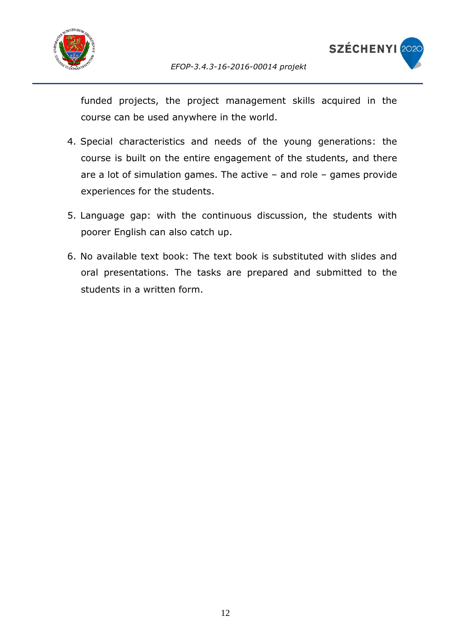



funded projects, the project management skills acquired in the course can be used anywhere in the world.

- 4. Special characteristics and needs of the young generations: the course is built on the entire engagement of the students, and there are a lot of simulation games. The active – and role – games provide experiences for the students.
- 5. Language gap: with the continuous discussion, the students with poorer English can also catch up.
- 6. No available text book: The text book is substituted with slides and oral presentations. The tasks are prepared and submitted to the students in a written form.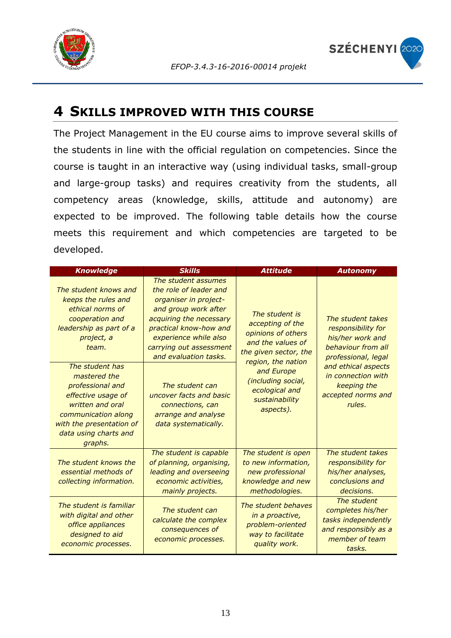



### <span id="page-12-0"></span>**4 SKILLS IMPROVED WITH THIS COURSE**

The Project Management in the EU course aims to improve several skills of the students in line with the official regulation on competencies. Since the course is taught in an interactive way (using individual tasks, small-group and large-group tasks) and requires creativity from the students, all competency areas (knowledge, skills, attitude and autonomy) are expected to be improved. The following table details how the course meets this requirement and which competencies are targeted to be developed.

| <b>Knowledge</b>                                                                                                                                                                     | <b>Skills</b>                                                                                                                                                                                                                    | <b>Attitude</b>                                                                                         | <b>Autonomy</b>                                                                                             |  |  |
|--------------------------------------------------------------------------------------------------------------------------------------------------------------------------------------|----------------------------------------------------------------------------------------------------------------------------------------------------------------------------------------------------------------------------------|---------------------------------------------------------------------------------------------------------|-------------------------------------------------------------------------------------------------------------|--|--|
| The student knows and<br>keeps the rules and<br>ethical norms of<br>cooperation and<br>leadership as part of a<br>project, a<br>team.                                                | The student assumes<br>the role of leader and<br>organiser in project-<br>and group work after<br>acquiring the necessary<br>practical know-how and<br>experience while also<br>carrying out assessment<br>and evaluation tasks. | The student is<br>accepting of the<br>opinions of others<br>and the values of<br>the given sector, the  | The student takes<br>responsibility for<br>his/her work and<br>behaviour from all<br>professional, legal    |  |  |
| The student has<br>mastered the<br>professional and<br>effective usage of<br>written and oral<br>communication along<br>with the presentation of<br>data using charts and<br>graphs. | The student can<br>uncover facts and basic<br>connections, can<br>arrange and analyse<br>data systematically.                                                                                                                    | region, the nation<br>and Europe<br>(including social,<br>ecological and<br>sustainability<br>aspects). | and ethical aspects<br>in connection with<br>keeping the<br>accepted norms and<br>rules.                    |  |  |
| The student knows the<br>essential methods of<br>collecting information.                                                                                                             | The student is capable<br>of planning, organising,<br>leading and overseeing<br>economic activities,<br>mainly projects.                                                                                                         | The student is open<br>to new information,<br>new professional<br>knowledge and new<br>methodologies.   | The student takes<br>responsibility for<br>his/her analyses,<br>conclusions and<br>decisions.               |  |  |
| The student is familiar<br>with digital and other<br>office appliances<br>designed to aid<br>economic processes.                                                                     | The student can<br>calculate the complex<br>consequences of<br>economic processes.                                                                                                                                               | The student behaves<br>in a proactive,<br>problem-oriented<br>way to facilitate<br>quality work.        | The student<br>completes his/her<br>tasks independently<br>and responsibly as a<br>member of team<br>tasks. |  |  |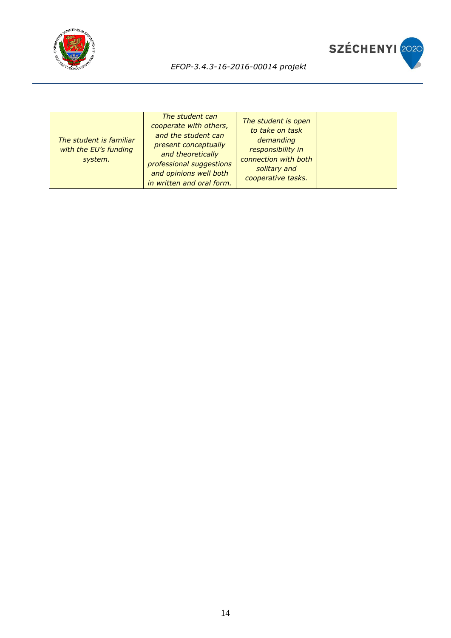



| The student is familiar<br>with the EU's funding<br>system. | The student can<br>cooperate with others,<br>and the student can<br>present conceptually<br>and theoretically<br>professional suggestions<br>and opinions well both<br>in written and oral form. | The student is open<br>to take on task<br>demanding<br>responsibility in<br>connection with both<br>solitary and<br>cooperative tasks. |  |
|-------------------------------------------------------------|--------------------------------------------------------------------------------------------------------------------------------------------------------------------------------------------------|----------------------------------------------------------------------------------------------------------------------------------------|--|
|-------------------------------------------------------------|--------------------------------------------------------------------------------------------------------------------------------------------------------------------------------------------------|----------------------------------------------------------------------------------------------------------------------------------------|--|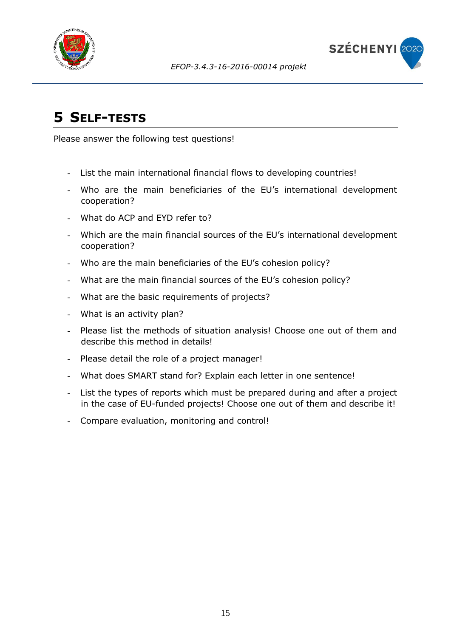



# <span id="page-14-0"></span>**5 SELF-TESTS**

Please answer the following test questions!

- List the main international financial flows to developing countries!
- Who are the main beneficiaries of the EU's international development cooperation?
- What do ACP and EYD refer to?
- Which are the main financial sources of the EU's international development cooperation?
- Who are the main beneficiaries of the EU's cohesion policy?
- What are the main financial sources of the EU's cohesion policy?
- What are the basic requirements of projects?
- What is an activity plan?
- Please list the methods of situation analysis! Choose one out of them and describe this method in details!
- Please detail the role of a project manager!
- What does SMART stand for? Explain each letter in one sentence!
- List the types of reports which must be prepared during and after a project in the case of EU-funded projects! Choose one out of them and describe it!
- Compare evaluation, monitoring and control!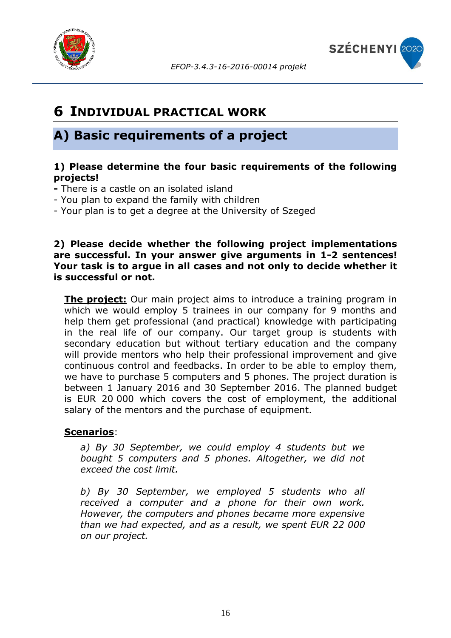



## <span id="page-15-0"></span>**6 INDIVIDUAL PRACTICAL WORK**

### **A) Basic requirements of a project**

### **1) Please determine the four basic requirements of the following projects!**

- **-** There is a castle on an isolated island
- You plan to expand the family with children
- Your plan is to get a degree at the University of Szeged

### **2) Please decide whether the following project implementations are successful. In your answer give arguments in 1-2 sentences! Your task is to argue in all cases and not only to decide whether it is successful or not.**

**The project:** Our main project aims to introduce a training program in which we would employ 5 trainees in our company for 9 months and help them get professional (and practical) knowledge with participating in the real life of our company. Our target group is students with secondary education but without tertiary education and the company will provide mentors who help their professional improvement and give continuous control and feedbacks. In order to be able to employ them, we have to purchase 5 computers and 5 phones. The project duration is between 1 January 2016 and 30 September 2016. The planned budget is EUR 20 000 which covers the cost of employment, the additional salary of the mentors and the purchase of equipment.

### **Scenarios**:

*a) By 30 September, we could employ 4 students but we bought 5 computers and 5 phones. Altogether, we did not exceed the cost limit.*

*b) By 30 September, we employed 5 students who all received a computer and a phone for their own work. However, the computers and phones became more expensive than we had expected, and as a result, we spent EUR 22 000 on our project.*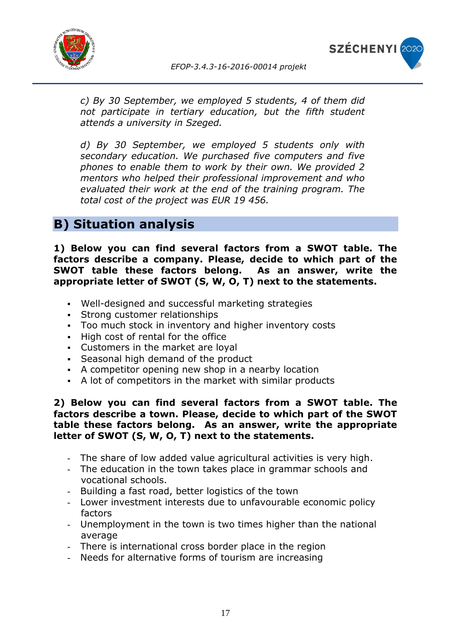



*c) By 30 September, we employed 5 students, 4 of them did not participate in tertiary education, but the fifth student attends a university in Szeged.* 

*d) By 30 September, we employed 5 students only with secondary education. We purchased five computers and five phones to enable them to work by their own. We provided 2 mentors who helped their professional improvement and who evaluated their work at the end of the training program. The total cost of the project was EUR 19 456.*

### **B) Situation analysis**

**1) Below you can find several factors from a SWOT table. The factors describe a company. Please, decide to which part of the SWOT table these factors belong. As an answer, write the appropriate letter of SWOT (S, W, O, T) next to the statements.**

- Well-designed and successful marketing strategies
- Strong customer relationships
- Too much stock in inventory and higher inventory costs
- High cost of rental for the office
- Customers in the market are loyal
- Seasonal high demand of the product
- A competitor opening new shop in a nearby location
- A lot of competitors in the market with similar products

### **2) Below you can find several factors from a SWOT table. The factors describe a town. Please, decide to which part of the SWOT table these factors belong. As an answer, write the appropriate letter of SWOT (S, W, O, T) next to the statements.**

- The share of low added value agricultural activities is very high.
- The education in the town takes place in grammar schools and vocational schools.
- Building a fast road, better logistics of the town
- Lower investment interests due to unfavourable economic policy factors
- Unemployment in the town is two times higher than the national average
- There is international cross border place in the region
- Needs for alternative forms of tourism are increasing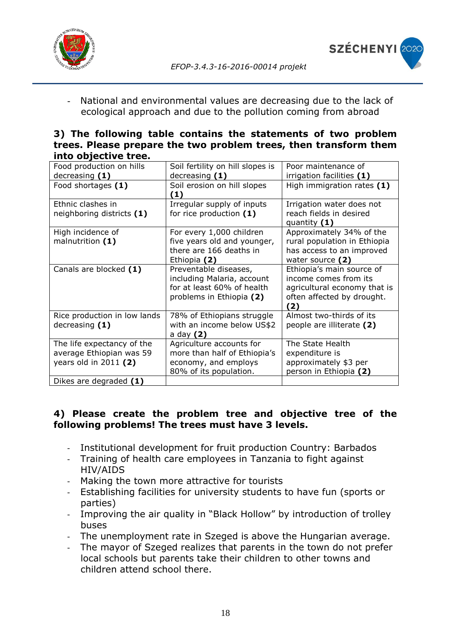



National and environmental values are decreasing due to the lack of ecological approach and due to the pollution coming from abroad

|  |                      |  | 3) The following table contains the statements of two problem    |  |  |
|--|----------------------|--|------------------------------------------------------------------|--|--|
|  |                      |  | trees. Please prepare the two problem trees, then transform them |  |  |
|  | into objective tree. |  |                                                                  |  |  |

| Food production on hills     | Soil fertility on hill slopes is   | Poor maintenance of                       |
|------------------------------|------------------------------------|-------------------------------------------|
| decreasing $(1)$             | decreasing $(1)$                   | irrigation facilities (1)                 |
| Food shortages (1)           | Soil erosion on hill slopes<br>(1) | High immigration rates $(1)$              |
| Ethnic clashes in            | Irregular supply of inputs         | Irrigation water does not                 |
| neighboring districts (1)    | for rice production $(1)$          | reach fields in desired<br>quantity $(1)$ |
| High incidence of            | For every 1,000 children           | Approximately 34% of the                  |
| malnutrition (1)             | five years old and younger,        | rural population in Ethiopia              |
|                              | there are 166 deaths in            | has access to an improved                 |
|                              | Ethiopia (2)                       | water source (2)                          |
| Canals are blocked (1)       | Preventable diseases,              | Ethiopia's main source of                 |
|                              | including Malaria, account         | income comes from its                     |
|                              | for at least 60% of health         | agricultural economy that is              |
|                              | problems in Ethiopia (2)           | often affected by drought.                |
|                              |                                    | 2)                                        |
| Rice production in low lands | 78% of Ethiopians struggle         | Almost two-thirds of its                  |
| decreasing $(1)$             | with an income below US\$2         | people are illiterate (2)                 |
|                              | a day (2)                          |                                           |
| The life expectancy of the   | Agriculture accounts for           | The State Health                          |
| average Ethiopian was 59     | more than half of Ethiopia's       | expenditure is                            |
| years old in $2011(2)$       | economy, and employs               | approximately \$3 per                     |
|                              | 80% of its population.             | person in Ethiopia (2)                    |
| Dikes are degraded (1)       |                                    |                                           |

### **4) Please create the problem tree and objective tree of the following problems! The trees must have 3 levels.**

- Institutional development for fruit production Country: Barbados
- Training of health care employees in Tanzania to fight against HIV/AIDS
- Making the town more attractive for tourists
- Establishing facilities for university students to have fun (sports or parties)
- Improving the air quality in "Black Hollow" by introduction of trolley buses
- The unemployment rate in Szeged is above the Hungarian average.
- The mayor of Szeged realizes that parents in the town do not prefer local schools but parents take their children to other towns and children attend school there.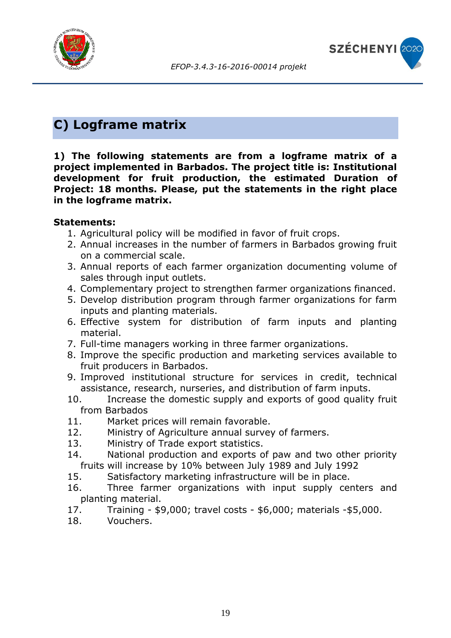



# **C) Logframe matrix**

**1) The following statements are from a logframe matrix of a project implemented in Barbados. The project title is: Institutional development for fruit production, the estimated Duration of Project: 18 months. Please, put the statements in the right place in the logframe matrix.**

### **Statements:**

- 1. Agricultural policy will be modified in favor of fruit crops.
- 2. Annual increases in the number of farmers in Barbados growing fruit on a commercial scale.
- 3. Annual reports of each farmer organization documenting volume of sales through input outlets.
- 4. Complementary project to strengthen farmer organizations financed.
- 5. Develop distribution program through farmer organizations for farm inputs and planting materials.
- 6. Effective system for distribution of farm inputs and planting material.
- 7. Full-time managers working in three farmer organizations.
- 8. Improve the specific production and marketing services available to fruit producers in Barbados.
- 9. Improved institutional structure for services in credit, technical assistance, research, nurseries, and distribution of farm inputs.
- 10. Increase the domestic supply and exports of good quality fruit from Barbados
- 11. Market prices will remain favorable.
- 12. Ministry of Agriculture annual survey of farmers.
- 13. Ministry of Trade export statistics.
- 14. National production and exports of paw and two other priority fruits will increase by 10% between July 1989 and July 1992
- 15. Satisfactory marketing infrastructure will be in place.
- 16. Three farmer organizations with input supply centers and planting material.
- 17. Training \$9,000; travel costs \$6,000; materials -\$5,000.
- 18. Vouchers.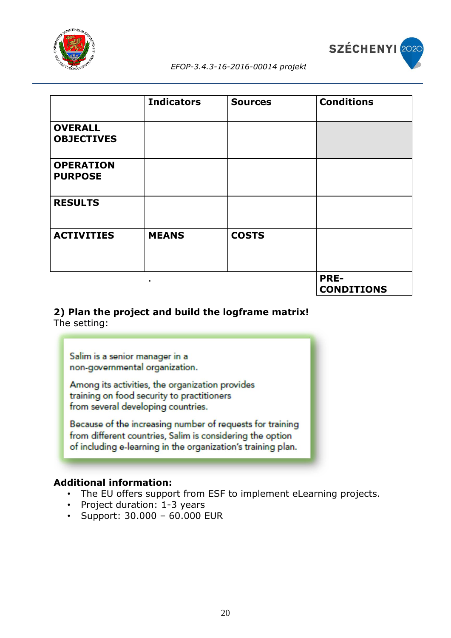



|                                     | <b>Indicators</b> | <b>Sources</b> | <b>Conditions</b>                |
|-------------------------------------|-------------------|----------------|----------------------------------|
| <b>OVERALL</b><br><b>OBJECTIVES</b> |                   |                |                                  |
| <b>OPERATION</b><br><b>PURPOSE</b>  |                   |                |                                  |
| <b>RESULTS</b>                      |                   |                |                                  |
| <b>ACTIVITIES</b>                   | <b>MEANS</b>      | <b>COSTS</b>   |                                  |
|                                     | ٠                 |                | <b>PRE-</b><br><b>CONDITIONS</b> |

#### **2) Plan the project and build the logframe matrix!** The setting:

Salim is a senior manager in a non-governmental organization.

Among its activities, the organization provides training on food security to practitioners from several developing countries.

Because of the increasing number of requests for training from different countries, Salim is considering the option of including e-learning in the organization's training plan.

### **Additional information:**

- The EU offers support from ESF to implement eLearning projects.
- Project duration: 1-3 years
- Support: 30.000 60.000 EUR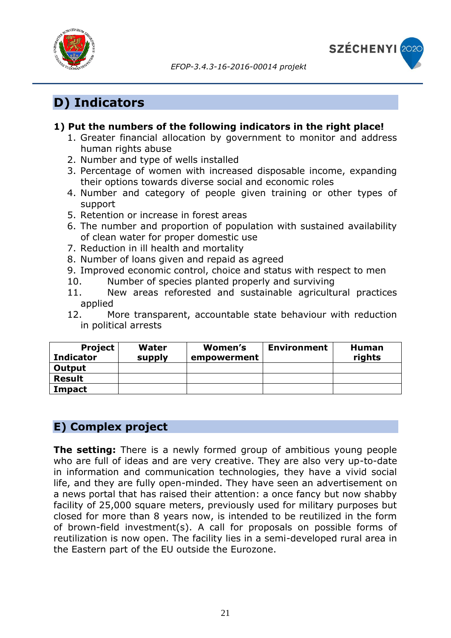



# **D) Indicators**

### **1) Put the numbers of the following indicators in the right place!**

- 1. Greater financial allocation by government to monitor and address human rights abuse
- 2. Number and type of wells installed
- 3. Percentage of women with increased disposable income, expanding their options towards diverse social and economic roles
- 4. Number and category of people given training or other types of support
- 5. Retention or increase in forest areas
- 6. The number and proportion of population with sustained availability of clean water for proper domestic use
- 7. Reduction in ill health and mortality
- 8. Number of loans given and repaid as agreed
- 9. Improved economic control, choice and status with respect to men
- 10. Number of species planted properly and surviving
- 11. New areas reforested and sustainable agricultural practices applied
- 12. More transparent, accountable state behaviour with reduction in political arrests

| <b>Project</b><br><b>Indicator</b> | Water<br>supply | Women's<br>empowerment | <b>Environment</b> | Human<br>rights |
|------------------------------------|-----------------|------------------------|--------------------|-----------------|
| Output                             |                 |                        |                    |                 |
| <b>Result</b>                      |                 |                        |                    |                 |
| Impact                             |                 |                        |                    |                 |

### **E) Complex project**

**The setting:** There is a newly formed group of ambitious young people who are full of ideas and are very creative. They are also very up-to-date in information and communication technologies, they have a vivid social life, and they are fully open-minded. They have seen an advertisement on a news portal that has raised their attention: a once fancy but now shabby facility of 25,000 square meters, previously used for military purposes but closed for more than 8 years now, is intended to be reutilized in the form of brown-field investment(s). A call for proposals on possible forms of reutilization is now open. The facility lies in a semi-developed rural area in the Eastern part of the EU outside the Eurozone.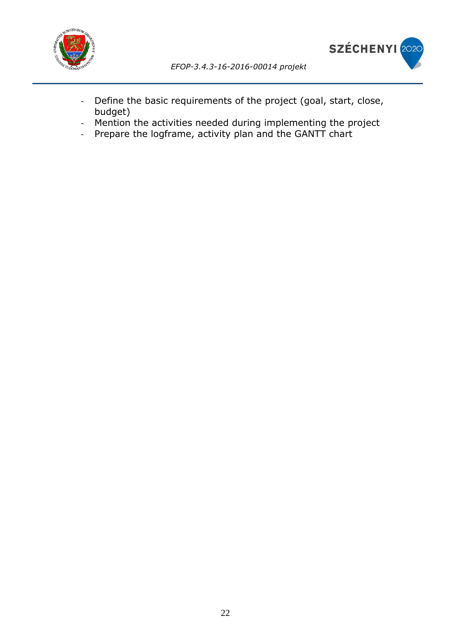

- Define the basic requirements of the project (goal, start, close, budget)
- Mention the activities needed during implementing the project
- Prepare the logframe, activity plan and the GANTT chart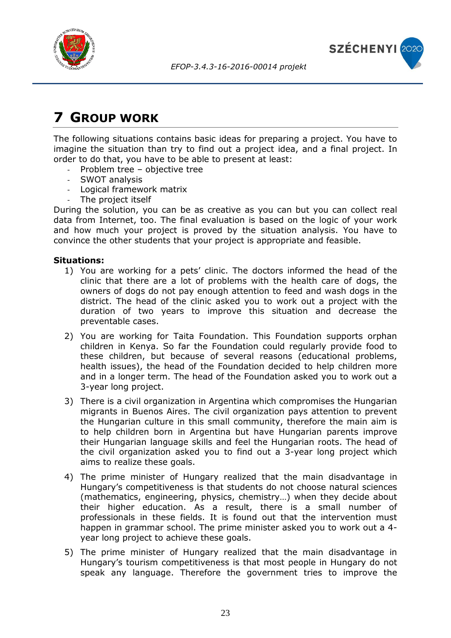



# <span id="page-22-0"></span>**7 GROUP WORK**

The following situations contains basic ideas for preparing a project. You have to imagine the situation than try to find out a project idea, and a final project. In order to do that, you have to be able to present at least:

- Problem tree objective tree
- SWOT analysis
- Logical framework matrix
- The project itself

During the solution, you can be as creative as you can but you can collect real data from Internet, too. The final evaluation is based on the logic of your work and how much your project is proved by the situation analysis. You have to convince the other students that your project is appropriate and feasible.

#### **Situations:**

- 1) You are working for a pets' clinic. The doctors informed the head of the clinic that there are a lot of problems with the health care of dogs, the owners of dogs do not pay enough attention to feed and wash dogs in the district. The head of the clinic asked you to work out a project with the duration of two years to improve this situation and decrease the preventable cases.
- 2) You are working for Taita Foundation. This Foundation supports orphan children in Kenya. So far the Foundation could regularly provide food to these children, but because of several reasons (educational problems, health issues), the head of the Foundation decided to help children more and in a longer term. The head of the Foundation asked you to work out a 3-year long project.
- 3) There is a civil organization in Argentina which compromises the Hungarian migrants in Buenos Aires. The civil organization pays attention to prevent the Hungarian culture in this small community, therefore the main aim is to help children born in Argentina but have Hungarian parents improve their Hungarian language skills and feel the Hungarian roots. The head of the civil organization asked you to find out a 3-year long project which aims to realize these goals.
- 4) The prime minister of Hungary realized that the main disadvantage in Hungary's competitiveness is that students do not choose natural sciences (mathematics, engineering, physics, chemistry…) when they decide about their higher education. As a result, there is a small number of professionals in these fields. It is found out that the intervention must happen in grammar school. The prime minister asked you to work out a 4 year long project to achieve these goals.
- 5) The prime minister of Hungary realized that the main disadvantage in Hungary's tourism competitiveness is that most people in Hungary do not speak any language. Therefore the government tries to improve the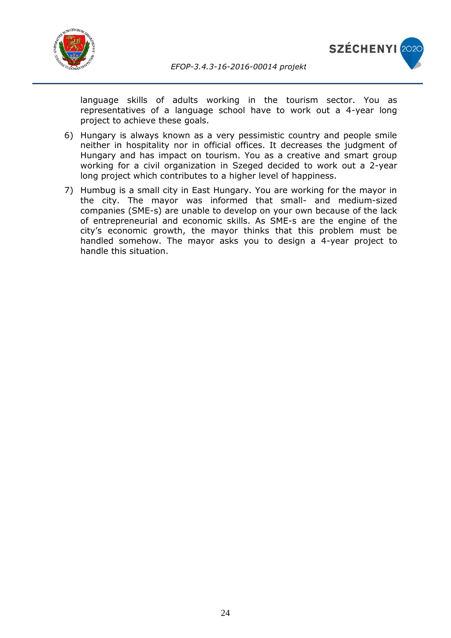



language skills of adults working in the tourism sector. You as representatives of a language school have to work out a 4-year long project to achieve these goals.

- 6) Hungary is always known as a very pessimistic country and people smile neither in hospitality nor in official offices. It decreases the judgment of Hungary and has impact on tourism. You as a creative and smart group working for a civil organization in Szeged decided to work out a 2-year long project which contributes to a higher level of happiness.
- 7) Humbug is a small city in East Hungary. You are working for the mayor in the city. The mayor was informed that small- and medium-sized companies (SME-s) are unable to develop on your own because of the lack of entrepreneurial and economic skills. As SME-s are the engine of the city's economic growth, the mayor thinks that this problem must be handled somehow. The mayor asks you to design a 4-year project to handle this situation.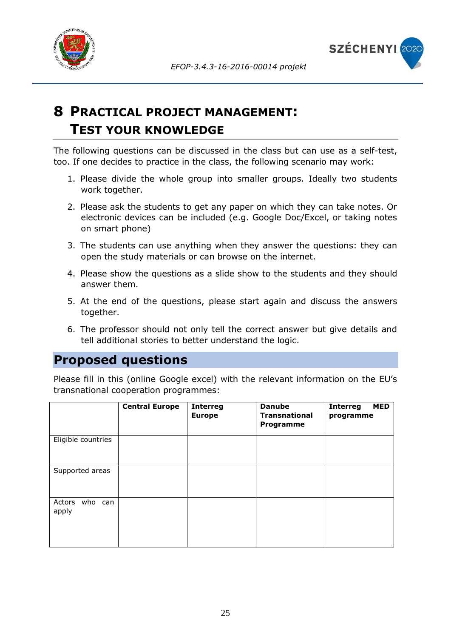



# <span id="page-24-0"></span>**8 PRACTICAL PROJECT MANAGEMENT: TEST YOUR KNOWLEDGE**

The following questions can be discussed in the class but can use as a self-test, too. If one decides to practice in the class, the following scenario may work:

- 1. Please divide the whole group into smaller groups. Ideally two students work together.
- 2. Please ask the students to get any paper on which they can take notes. Or electronic devices can be included (e.g. Google Doc/Excel, or taking notes on smart phone)
- 3. The students can use anything when they answer the questions: they can open the study materials or can browse on the internet.
- 4. Please show the questions as a slide show to the students and they should answer them.
- 5. At the end of the questions, please start again and discuss the answers together.
- 6. The professor should not only tell the correct answer but give details and tell additional stories to better understand the logic.

### **Proposed questions**

Please fill in this (online Google excel) with the relevant information on the EU's transnational cooperation programmes:

|                            | <b>Central Europe</b> | <b>Interreg</b><br><b>Europe</b> | <b>Danube</b><br><b>Transnational</b><br>Programme | <b>MED</b><br><b>Interreg</b><br>programme |
|----------------------------|-----------------------|----------------------------------|----------------------------------------------------|--------------------------------------------|
| Eligible countries         |                       |                                  |                                                    |                                            |
| Supported areas            |                       |                                  |                                                    |                                            |
| who can<br>Actors<br>apply |                       |                                  |                                                    |                                            |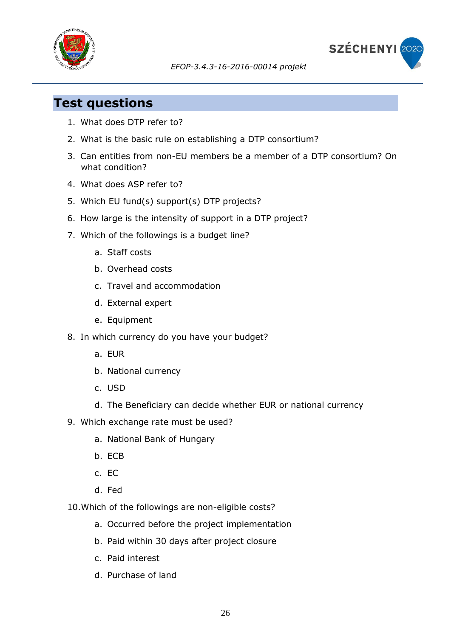



### **Test questions**

- 1. What does DTP refer to?
- 2. What is the basic rule on establishing a DTP consortium?
- 3. Can entities from non-EU members be a member of a DTP consortium? On what condition?
- 4. What does ASP refer to?
- 5. Which EU fund(s) support(s) DTP projects?
- 6. How large is the intensity of support in a DTP project?
- 7. Which of the followings is a budget line?
	- a. Staff costs
	- b. Overhead costs
	- c. Travel and accommodation
	- d. External expert
	- e. Equipment
- 8. In which currency do you have your budget?
	- a. EUR
	- b. National currency
	- c. USD
	- d. The Beneficiary can decide whether EUR or national currency
- 9. Which exchange rate must be used?
	- a. National Bank of Hungary
	- b. ECB
	- c. EC
	- d. Fed
- 10.Which of the followings are non-eligible costs?
	- a. Occurred before the project implementation
	- b. Paid within 30 days after project closure
	- c. Paid interest
	- d. Purchase of land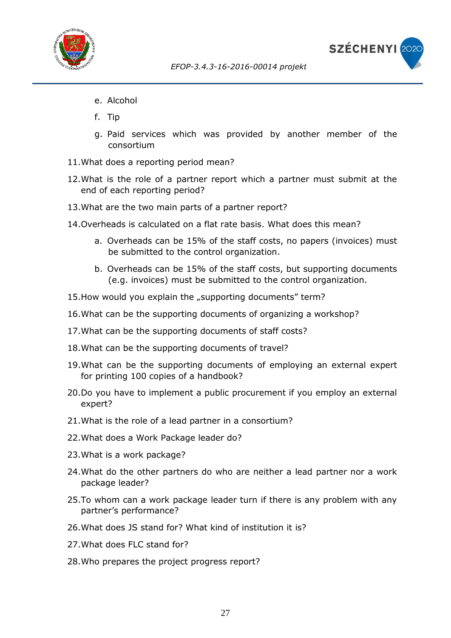



- e. Alcohol
- f. Tip
- g. Paid services which was provided by another member of the consortium
- 11.What does a reporting period mean?
- 12.What is the role of a partner report which a partner must submit at the end of each reporting period?
- 13.What are the two main parts of a partner report?
- 14.Overheads is calculated on a flat rate basis. What does this mean?
	- a. Overheads can be 15% of the staff costs, no papers (invoices) must be submitted to the control organization.
	- b. Overheads can be 15% of the staff costs, but supporting documents (e.g. invoices) must be submitted to the control organization.
- 15. How would you explain the "supporting documents" term?
- 16.What can be the supporting documents of organizing a workshop?
- 17.What can be the supporting documents of staff costs?
- 18.What can be the supporting documents of travel?
- 19.What can be the supporting documents of employing an external expert for printing 100 copies of a handbook?
- 20.Do you have to implement a public procurement if you employ an external expert?
- 21.What is the role of a lead partner in a consortium?
- 22.What does a Work Package leader do?
- 23.What is a work package?
- 24.What do the other partners do who are neither a lead partner nor a work package leader?
- 25.To whom can a work package leader turn if there is any problem with any partner's performance?
- 26.What does JS stand for? What kind of institution it is?
- 27. What does FLC stand for?
- 28.Who prepares the project progress report?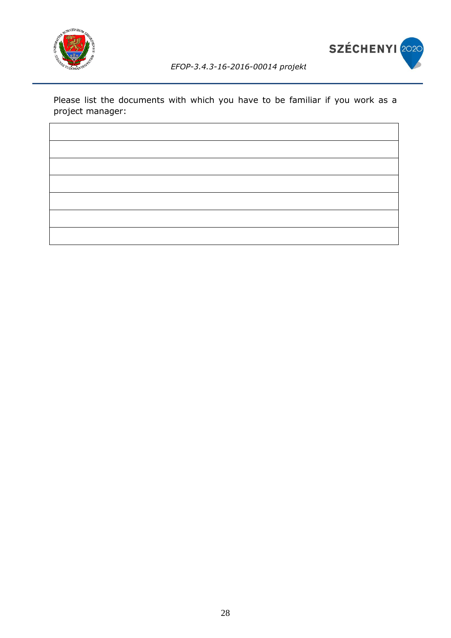



Please list the documents with which you have to be familiar if you work as a project manager: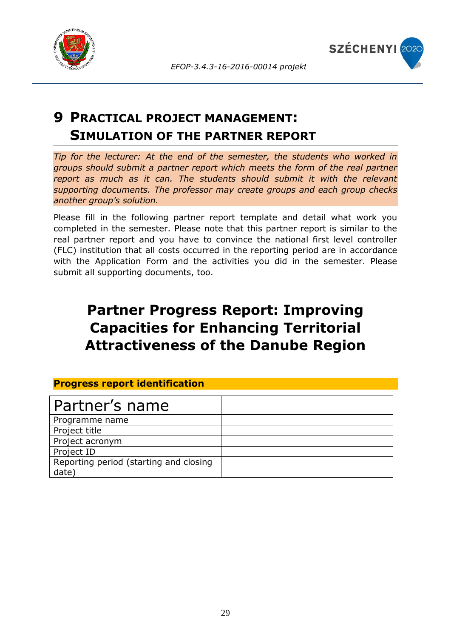



# <span id="page-28-0"></span>**9 PRACTICAL PROJECT MANAGEMENT: SIMULATION OF THE PARTNER REPORT**

*Tip for the lecturer: At the end of the semester, the students who worked in groups should submit a partner report which meets the form of the real partner*  report as much as it can. The students should submit it with the relevant *supporting documents. The professor may create groups and each group checks another group's solution.*

Please fill in the following partner report template and detail what work you completed in the semester. Please note that this partner report is similar to the real partner report and you have to convince the national first level controller (FLC) institution that all costs occurred in the reporting period are in accordance with the Application Form and the activities you did in the semester. Please submit all supporting documents, too.

# **Partner Progress Report: Improving Capacities for Enhancing Territorial Attractiveness of the Danube Region**

### **Progress report identification**

| Partner's name                                  |  |
|-------------------------------------------------|--|
| Programme name                                  |  |
| Project title                                   |  |
| Project acronym                                 |  |
| Project ID                                      |  |
| Reporting period (starting and closing<br>date) |  |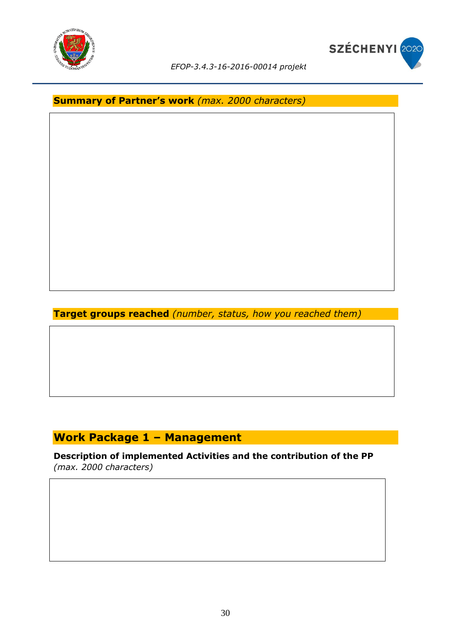



**Summary of Partner's work** *(max. 2000 characters)*

**Target groups reached** *(number, status, how you reached them)*

### **Work Package 1 – Management**

**Description of implemented Activities and the contribution of the PP**  *(max. 2000 characters)*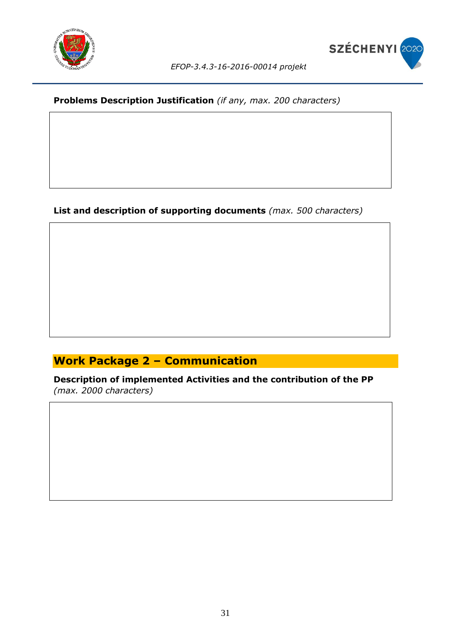



### **Problems Description Justification** *(if any, max. 200 characters)*

### **List and description of supporting documents** *(max. 500 characters)*

### **Work Package 2 – Communication**

**Description of implemented Activities and the contribution of the PP**  *(max. 2000 characters)*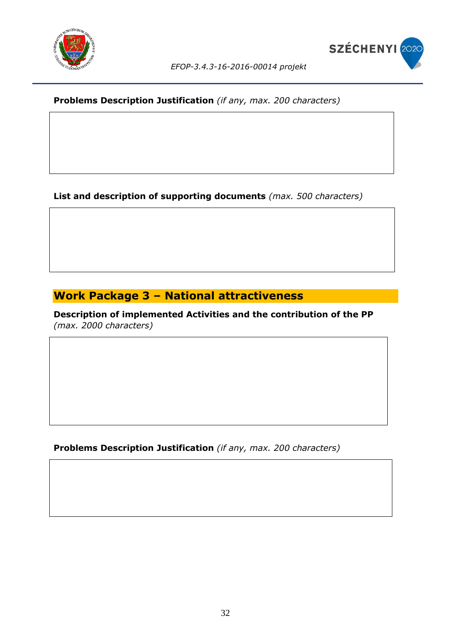

### **Problems Description Justification** *(if any, max. 200 characters)*

**List and description of supporting documents** *(max. 500 characters)*

### **Work Package 3 – National attractiveness**

**Description of implemented Activities and the contribution of the PP**  *(max. 2000 characters)*

**Problems Description Justification** *(if any, max. 200 characters)*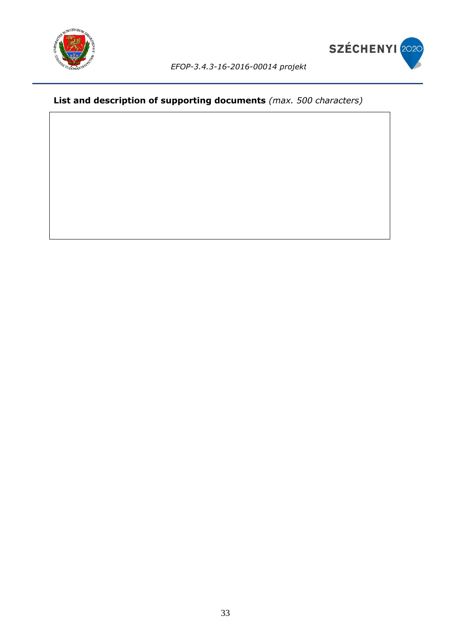



### **List and description of supporting documents** *(max. 500 characters)*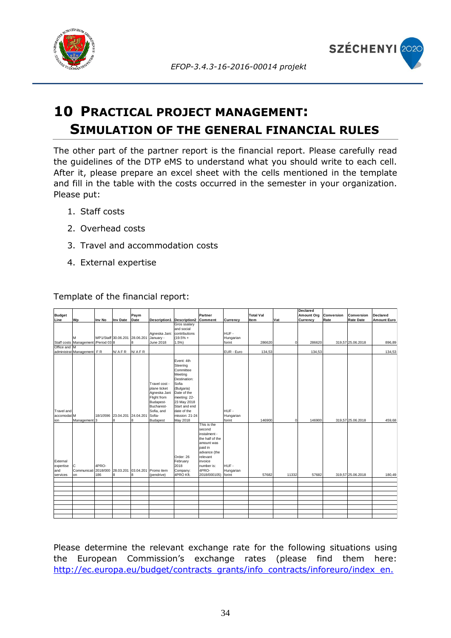



# <span id="page-33-0"></span>**10 PRACTICAL PROJECT MANAGEMENT: SIMULATION OF THE GENERAL FINANCIAL RULES**

The other part of the partner report is the financial report. Please carefully read the guidelines of the DTP eMS to understand what you should write to each cell. After it, please prepare an excel sheet with the cells mentioned in the template and fill in the table with the costs occurred in the semester in your organization. Please put:

- 1. Staff costs
- 2. Overhead costs
- 3. Travel and accommodation costs
- 4. External expertise

|                              |                                     |        |                               |       |                                                                                                                 |                                                                                                                                                                                       |                                                                                                                                                 |                   |                  |             | Declared          |            |                   |                    |
|------------------------------|-------------------------------------|--------|-------------------------------|-------|-----------------------------------------------------------------------------------------------------------------|---------------------------------------------------------------------------------------------------------------------------------------------------------------------------------------|-------------------------------------------------------------------------------------------------------------------------------------------------|-------------------|------------------|-------------|-------------------|------------|-------------------|--------------------|
| <b>Budget</b>                |                                     |        |                               | Paym  |                                                                                                                 |                                                                                                                                                                                       | Partner                                                                                                                                         |                   | <b>Total Val</b> |             | <b>Amount Org</b> | Conversion | Conversion        | Declared           |
| Line                         | Wp                                  | Inv No | <b>Inv Date</b>               | Date  | Description1 Description2                                                                                       |                                                                                                                                                                                       | Comment                                                                                                                                         | Currency          | <b>Item</b>      | Vat         | Currency          | Rate       | <b>Rate Date</b>  | <b>Amount Euro</b> |
|                              |                                     |        |                               |       |                                                                                                                 | Gros ssalary                                                                                                                                                                          |                                                                                                                                                 |                   |                  |             |                   |            |                   |                    |
|                              |                                     |        |                               |       |                                                                                                                 | and social                                                                                                                                                                            |                                                                                                                                                 |                   |                  |             |                   |            |                   |                    |
|                              |                                     |        |                               |       | Agneska Jani: contributions                                                                                     |                                                                                                                                                                                       |                                                                                                                                                 | HUF-              |                  |             |                   |            |                   |                    |
|                              |                                     |        | WP1/Staff 30.06.201 28.06.201 |       | January -                                                                                                       | $(19.5% +$                                                                                                                                                                            |                                                                                                                                                 | Hungarian         |                  |             |                   |            |                   |                    |
|                              | Staff costs Management /Period 03 8 |        |                               | 8     | <b>June 2018</b>                                                                                                | 1.5%                                                                                                                                                                                  |                                                                                                                                                 | forint            | 286620           | $\mathbf 0$ | 286620            |            | 319,57 25.06.2018 | 896,89             |
| Office and M                 |                                     |        |                               |       |                                                                                                                 |                                                                                                                                                                                       |                                                                                                                                                 |                   |                  |             |                   |            |                   |                    |
|                              | administrat Management FR           |        | N/AFR                         | N/AFR |                                                                                                                 |                                                                                                                                                                                       |                                                                                                                                                 | EUR - Euro        | 134,53           |             | 134,53            |            |                   | 134,53             |
| Travel and<br>accomodat M    |                                     |        | 18/10596 23.04.201 24.04.201  |       | Travel cost -<br>plane ticket<br>Agneska Jani<br>Flight from<br>Budapest-<br>Bucharest-<br>Sofia, and<br>Sofia- | Event: 4th<br>Steering<br>Committee<br>Meeting<br>Destination:<br>Sofia<br>(Bulgaria)<br>Date of the<br>meeting: 22-<br>23 May 2018<br>Start and end<br>date of the<br>mission: 21-24 |                                                                                                                                                 | HUF-<br>Hungarian |                  |             |                   |            |                   |                    |
| ion                          | Management <sup>3</sup>             |        | 8                             | 8     | <b>Budapest</b>                                                                                                 | May 2018                                                                                                                                                                              |                                                                                                                                                 | forint            | 146900           | $\mathbf 0$ | 146900            |            | 319.57 25.06.2018 | 459.68             |
| External<br>expertise<br>and | с<br>Communicati 2018/000 28.03.201 | 4PRO-  |                               |       | 03.04.201 Promo item                                                                                            | Order: 26<br>February<br>2018<br>Company:                                                                                                                                             | This is the<br>second<br>instalment -<br>the half of the<br>amount was<br>paid in<br>advance (the<br>relevant<br>invoice<br>number is:<br>4PRO- | HUF-<br>Hungarian |                  |             |                   |            |                   |                    |
| services                     | on                                  | 186    | 8                             | 8     | (pendrive)                                                                                                      | 4PRO Kft.                                                                                                                                                                             | 2018/000105) forint                                                                                                                             |                   | 57682            | 11332       | 57682             |            | 319,57 25.06.2018 | 180,49             |
|                              |                                     |        |                               |       |                                                                                                                 |                                                                                                                                                                                       |                                                                                                                                                 |                   |                  |             |                   |            |                   |                    |
|                              |                                     |        |                               |       |                                                                                                                 |                                                                                                                                                                                       |                                                                                                                                                 |                   |                  |             |                   |            |                   |                    |
|                              |                                     |        |                               |       |                                                                                                                 |                                                                                                                                                                                       |                                                                                                                                                 |                   |                  |             |                   |            |                   |                    |
|                              |                                     |        |                               |       |                                                                                                                 |                                                                                                                                                                                       |                                                                                                                                                 |                   |                  |             |                   |            |                   |                    |
|                              |                                     |        |                               |       |                                                                                                                 |                                                                                                                                                                                       |                                                                                                                                                 |                   |                  |             |                   |            |                   |                    |
|                              |                                     |        |                               |       |                                                                                                                 |                                                                                                                                                                                       |                                                                                                                                                 |                   |                  |             |                   |            |                   |                    |
|                              |                                     |        |                               |       |                                                                                                                 |                                                                                                                                                                                       |                                                                                                                                                 |                   |                  |             |                   |            |                   |                    |
|                              |                                     |        |                               |       |                                                                                                                 |                                                                                                                                                                                       |                                                                                                                                                 |                   |                  |             |                   |            |                   |                    |
|                              |                                     |        |                               |       |                                                                                                                 |                                                                                                                                                                                       |                                                                                                                                                 |                   |                  |             |                   |            |                   |                    |

Template of the financial report:

Please determine the relevant exchange rate for the following situations using the European Commission's exchange rates (please find them here: [http://ec.europa.eu/budget/contracts\\_grants/info\\_contracts/inforeuro/index\\_en.](http://ec.europa.eu/budget/contracts_grants/info_contracts/inforeuro/index_en.cfm)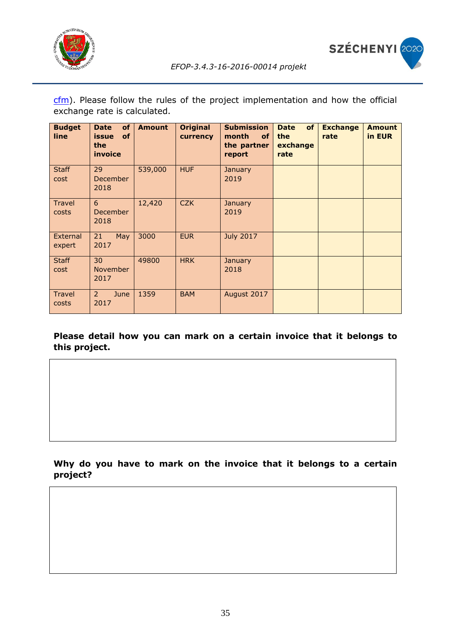



[cfm\)](http://ec.europa.eu/budget/contracts_grants/info_contracts/inforeuro/index_en.cfm). Please follow the rules of the project implementation and how the official exchange rate is calculated.

| <b>Budget</b><br>line | <b>Date</b><br>of<br><b>of</b><br><b>issue</b><br>the<br>invoice | <b>Amount</b> | <b>Original</b><br>currency | <b>Submission</b><br>month<br><b>of</b><br>the partner<br>report | of<br><b>Date</b><br>the<br>exchange<br>rate | <b>Exchange</b><br>rate | <b>Amount</b><br>in EUR |
|-----------------------|------------------------------------------------------------------|---------------|-----------------------------|------------------------------------------------------------------|----------------------------------------------|-------------------------|-------------------------|
| <b>Staff</b><br>cost  | 29<br><b>December</b><br>2018                                    | 539,000       | <b>HUF</b>                  | <b>January</b><br>2019                                           |                                              |                         |                         |
| Travel<br>costs       | 6<br>December<br>2018                                            | 12,420        | <b>CZK</b>                  | <b>January</b><br>2019                                           |                                              |                         |                         |
| External<br>expert    | 21<br>May<br>2017                                                | 3000          | <b>EUR</b>                  | <b>July 2017</b>                                                 |                                              |                         |                         |
| <b>Staff</b><br>cost  | 30<br>November<br>2017                                           | 49800         | <b>HRK</b>                  | <b>January</b><br>2018                                           |                                              |                         |                         |
| Travel<br>costs       | $\mathbf{2}$<br>June<br>2017                                     | 1359          | <b>BAM</b>                  | August 2017                                                      |                                              |                         |                         |

**Please detail how you can mark on a certain invoice that it belongs to this project.**

**Why do you have to mark on the invoice that it belongs to a certain project?**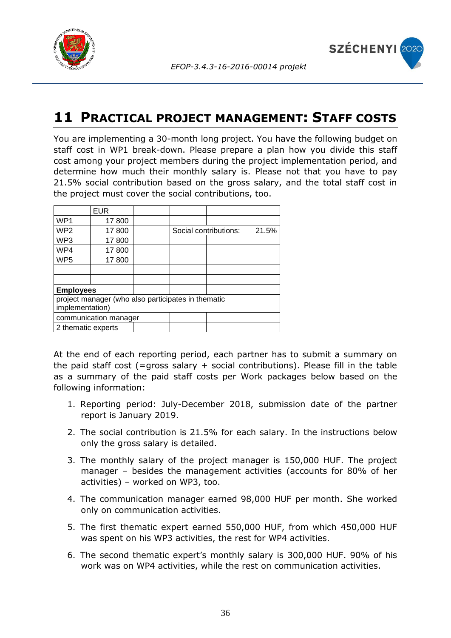



## <span id="page-35-0"></span>**11 PRACTICAL PROJECT MANAGEMENT: STAFF COSTS**

You are implementing a 30-month long project. You have the following budget on staff cost in WP1 break-down. Please prepare a plan how you divide this staff cost among your project members during the project implementation period, and determine how much their monthly salary is. Please not that you have to pay 21.5% social contribution based on the gross salary, and the total staff cost in the project must cover the social contributions, too.

|                                                                       | <b>EUR</b> |  |                       |       |  |  |
|-----------------------------------------------------------------------|------------|--|-----------------------|-------|--|--|
| WP <sub>1</sub>                                                       | 17800      |  |                       |       |  |  |
| WP <sub>2</sub>                                                       | 17800      |  | Social contributions: | 21.5% |  |  |
| WP3                                                                   | 17800      |  |                       |       |  |  |
| WP4                                                                   | 17800      |  |                       |       |  |  |
| WP <sub>5</sub>                                                       | 17800      |  |                       |       |  |  |
|                                                                       |            |  |                       |       |  |  |
|                                                                       |            |  |                       |       |  |  |
| <b>Employees</b>                                                      |            |  |                       |       |  |  |
| project manager (who also participates in thematic<br>implementation) |            |  |                       |       |  |  |
| communication manager                                                 |            |  |                       |       |  |  |
| 2 thematic experts                                                    |            |  |                       |       |  |  |

At the end of each reporting period, each partner has to submit a summary on the paid staff cost (=gross salary + social contributions). Please fill in the table as a summary of the paid staff costs per Work packages below based on the following information:

- 1. Reporting period: July-December 2018, submission date of the partner report is January 2019.
- 2. The social contribution is 21.5% for each salary. In the instructions below only the gross salary is detailed.
- 3. The monthly salary of the project manager is 150,000 HUF. The project manager – besides the management activities (accounts for 80% of her activities) – worked on WP3, too.
- 4. The communication manager earned 98,000 HUF per month. She worked only on communication activities.
- 5. The first thematic expert earned 550,000 HUF, from which 450,000 HUF was spent on his WP3 activities, the rest for WP4 activities.
- 6. The second thematic expert's monthly salary is 300,000 HUF. 90% of his work was on WP4 activities, while the rest on communication activities.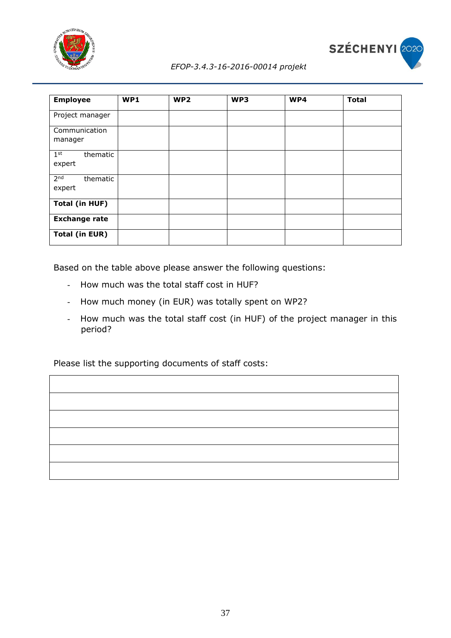



| <b>Employee</b>                       | WP1 | WP <sub>2</sub> | WP3 | WP4 | <b>Total</b> |
|---------------------------------------|-----|-----------------|-----|-----|--------------|
| Project manager                       |     |                 |     |     |              |
| Communication<br>manager              |     |                 |     |     |              |
| $1^{\rm st}$<br>thematic<br>expert    |     |                 |     |     |              |
| 2 <sub>nd</sub><br>thematic<br>expert |     |                 |     |     |              |
| <b>Total (in HUF)</b>                 |     |                 |     |     |              |
| <b>Exchange rate</b>                  |     |                 |     |     |              |
| <b>Total (in EUR)</b>                 |     |                 |     |     |              |

Based on the table above please answer the following questions:

- How much was the total staff cost in HUF?
- How much money (in EUR) was totally spent on WP2?
- How much was the total staff cost (in HUF) of the project manager in this period?

Please list the supporting documents of staff costs:

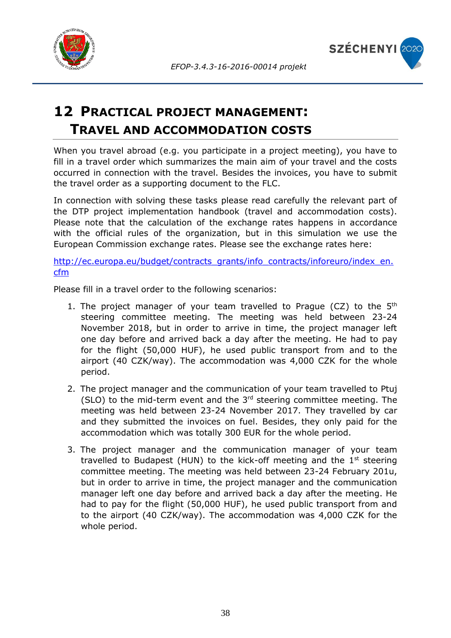



# <span id="page-37-0"></span>**12 PRACTICAL PROJECT MANAGEMENT: TRAVEL AND ACCOMMODATION COSTS**

When you travel abroad (e.g. you participate in a project meeting), you have to fill in a travel order which summarizes the main aim of your travel and the costs occurred in connection with the travel. Besides the invoices, you have to submit the travel order as a supporting document to the FLC.

In connection with solving these tasks please read carefully the relevant part of the DTP project implementation handbook (travel and accommodation costs). Please note that the calculation of the exchange rates happens in accordance with the official rules of the organization, but in this simulation we use the European Commission exchange rates. Please see the exchange rates here:

[http://ec.europa.eu/budget/contracts\\_grants/info\\_contracts/inforeuro/index\\_en.](http://ec.europa.eu/budget/contracts_grants/info_contracts/inforeuro/index_en.cfm) [cfm](http://ec.europa.eu/budget/contracts_grants/info_contracts/inforeuro/index_en.cfm)

Please fill in a travel order to the following scenarios:

- 1. The project manager of your team travelled to Prague (CZ) to the 5<sup>th</sup> steering committee meeting. The meeting was held between 23-24 November 2018, but in order to arrive in time, the project manager left one day before and arrived back a day after the meeting. He had to pay for the flight (50,000 HUF), he used public transport from and to the airport (40 CZK/way). The accommodation was 4,000 CZK for the whole period.
- 2. The project manager and the communication of your team travelled to Ptuj (SLO) to the mid-term event and the  $3<sup>rd</sup>$  steering committee meeting. The meeting was held between 23-24 November 2017. They travelled by car and they submitted the invoices on fuel. Besides, they only paid for the accommodation which was totally 300 EUR for the whole period.
- 3. The project manager and the communication manager of your team travelled to Budapest (HUN) to the kick-off meeting and the  $1<sup>st</sup>$  steering committee meeting. The meeting was held between 23-24 February 201u, but in order to arrive in time, the project manager and the communication manager left one day before and arrived back a day after the meeting. He had to pay for the flight (50,000 HUF), he used public transport from and to the airport (40 CZK/way). The accommodation was 4,000 CZK for the whole period.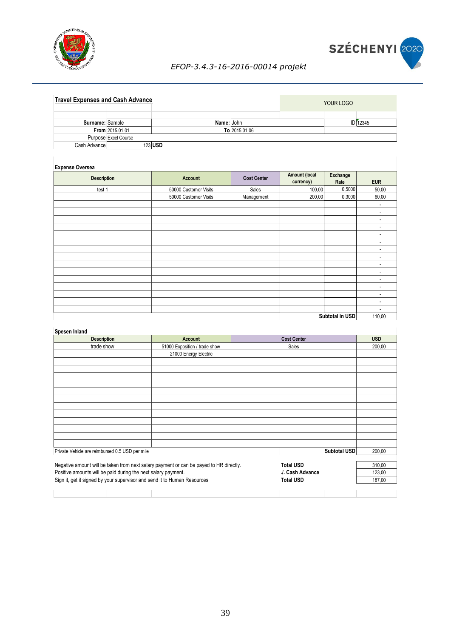



|                 | <b>Travel Expenses and Cash Advance</b> |            |               | YOUR LOGO       |
|-----------------|-----------------------------------------|------------|---------------|-----------------|
|                 |                                         |            |               |                 |
| Surname: Sample |                                         | Name: John |               | <b>ID</b> 12345 |
|                 | <b>From 2015.01.01</b>                  |            | To 2015.01.06 |                 |
|                 | Purpose Excel Course                    |            |               |                 |
| Cash Advance    | 123 USD                                 |            |               |                 |

| <b>Experise Oversea</b> |                       |                    |                                   |                  |                          |  |  |  |  |
|-------------------------|-----------------------|--------------------|-----------------------------------|------------------|--------------------------|--|--|--|--|
| <b>Description</b>      | Account               | <b>Cost Center</b> | <b>Amount (local</b><br>currency) | Exchange<br>Rate | <b>EUR</b>               |  |  |  |  |
| test 1                  | 50000 Customer Visits | Sales              | 100,00                            | 0,5000           | 50,00                    |  |  |  |  |
|                         | 50000 Customer Visits | Management         | 200,00                            | 0,3000           | 60,00                    |  |  |  |  |
|                         |                       |                    |                                   |                  | $\overline{\phantom{a}}$ |  |  |  |  |
|                         |                       |                    |                                   |                  |                          |  |  |  |  |
|                         |                       |                    |                                   |                  |                          |  |  |  |  |
|                         |                       |                    |                                   |                  |                          |  |  |  |  |
|                         |                       |                    |                                   |                  |                          |  |  |  |  |
|                         |                       |                    |                                   |                  | ٠                        |  |  |  |  |
|                         |                       |                    |                                   |                  | $\overline{\phantom{a}}$ |  |  |  |  |
|                         |                       |                    |                                   |                  |                          |  |  |  |  |
|                         |                       |                    |                                   |                  | ٠                        |  |  |  |  |
|                         |                       |                    |                                   |                  |                          |  |  |  |  |
|                         |                       |                    |                                   |                  |                          |  |  |  |  |
|                         |                       |                    |                                   |                  |                          |  |  |  |  |
|                         |                       |                    |                                   |                  | ٠                        |  |  |  |  |
|                         |                       |                    |                                   |                  | $\overline{\phantom{a}}$ |  |  |  |  |
|                         |                       |                    |                                   |                  |                          |  |  |  |  |
|                         |                       |                    |                                   | Subtotal in USD  | 110,00                   |  |  |  |  |

#### **Spesen Inland**

| <b>Description</b>                                                                                         | <b>Account</b>                |  | <b>Cost Center</b> |              | <b>USD</b> |
|------------------------------------------------------------------------------------------------------------|-------------------------------|--|--------------------|--------------|------------|
| trade show                                                                                                 | 51000 Exposition / trade show |  | Sales              |              | 200,00     |
|                                                                                                            | 21000 Energy Electric         |  |                    |              |            |
|                                                                                                            |                               |  |                    |              |            |
|                                                                                                            |                               |  |                    |              |            |
|                                                                                                            |                               |  |                    |              |            |
|                                                                                                            |                               |  |                    |              |            |
|                                                                                                            |                               |  |                    |              |            |
|                                                                                                            |                               |  |                    |              |            |
|                                                                                                            |                               |  |                    |              |            |
|                                                                                                            |                               |  |                    |              |            |
|                                                                                                            |                               |  |                    |              |            |
|                                                                                                            |                               |  |                    |              |            |
|                                                                                                            |                               |  |                    |              |            |
|                                                                                                            |                               |  |                    |              |            |
| Private Vehicle are reimbursed 0.5 USD per mile                                                            |                               |  |                    | Subtotal USD | 200,00     |
|                                                                                                            |                               |  |                    |              |            |
| Negative amount will be taken from next salary payment or can be payed to HR directly.<br><b>Total USD</b> |                               |  |                    |              | 310,00     |
| Positive amounts will be paid during the next salary payment.<br>./. Cash Advance                          |                               |  |                    |              | 123,00     |
| Sign it, get it signed by your supervisor and send it to Human Resources                                   |                               |  | <b>Total USD</b>   |              | 187,00     |
|                                                                                                            |                               |  |                    |              |            |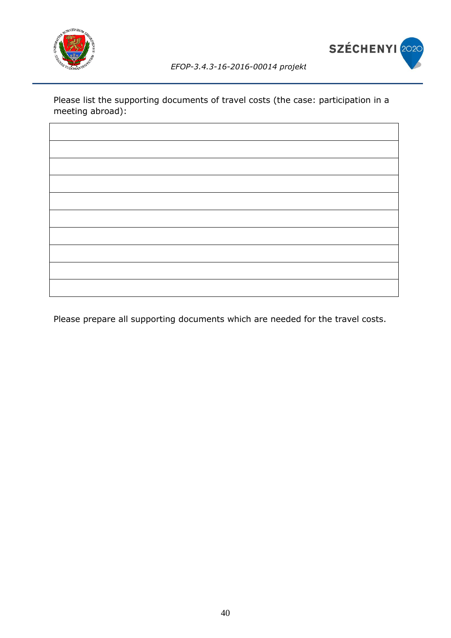



Please list the supporting documents of travel costs (the case: participation in a meeting abroad):

Please prepare all supporting documents which are needed for the travel costs.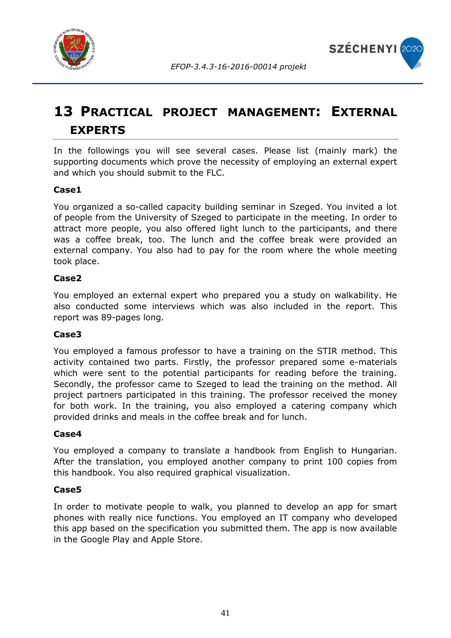



# <span id="page-40-0"></span>**13 PRACTICAL PROJECT MANAGEMENT: EXTERNAL EXPERTS**

In the followings you will see several cases. Please list (mainly mark) the supporting documents which prove the necessity of employing an external expert and which you should submit to the FLC.

### **Case1**

You organized a so-called capacity building seminar in Szeged. You invited a lot of people from the University of Szeged to participate in the meeting. In order to attract more people, you also offered light lunch to the participants, and there was a coffee break, too. The lunch and the coffee break were provided an external company. You also had to pay for the room where the whole meeting took place.

### **Case2**

You employed an external expert who prepared you a study on walkability. He also conducted some interviews which was also included in the report. This report was 89-pages long.

#### **Case3**

You employed a famous professor to have a training on the STIR method. This activity contained two parts. Firstly, the professor prepared some e-materials which were sent to the potential participants for reading before the training. Secondly, the professor came to Szeged to lead the training on the method. All project partners participated in this training. The professor received the money for both work. In the training, you also employed a catering company which provided drinks and meals in the coffee break and for lunch.

### **Case4**

You employed a company to translate a handbook from English to Hungarian. After the translation, you employed another company to print 100 copies from this handbook. You also required graphical visualization.

#### **Case5**

In order to motivate people to walk, you planned to develop an app for smart phones with really nice functions. You employed an IT company who developed this app based on the specification you submitted them. The app is now available in the Google Play and Apple Store.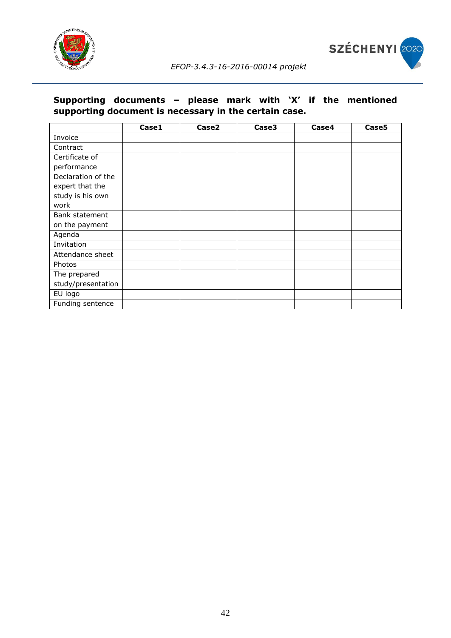



### **Supporting documents – please mark with 'X' if the mentioned supporting document is necessary in the certain case.**

|                    | Case1 | Case2 | Case3 | Case4 | Case5 |
|--------------------|-------|-------|-------|-------|-------|
| Invoice            |       |       |       |       |       |
| Contract           |       |       |       |       |       |
| Certificate of     |       |       |       |       |       |
| performance        |       |       |       |       |       |
| Declaration of the |       |       |       |       |       |
| expert that the    |       |       |       |       |       |
| study is his own   |       |       |       |       |       |
| work               |       |       |       |       |       |
| Bank statement     |       |       |       |       |       |
| on the payment     |       |       |       |       |       |
| Agenda             |       |       |       |       |       |
| Invitation         |       |       |       |       |       |
| Attendance sheet   |       |       |       |       |       |
| Photos             |       |       |       |       |       |
| The prepared       |       |       |       |       |       |
| study/presentation |       |       |       |       |       |
| EU logo            |       |       |       |       |       |
| Funding sentence   |       |       |       |       |       |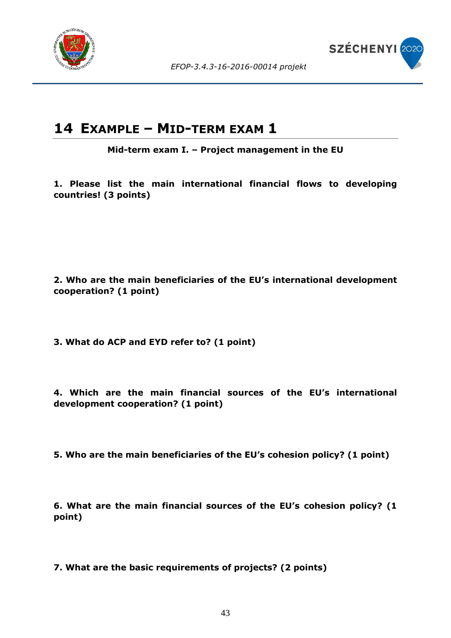



## <span id="page-42-0"></span>**14 EXAMPLE – MID-TERM EXAM 1**

**Mid-term exam I. – Project management in the EU**

**1. Please list the main international financial flows to developing countries! (3 points)**

**2. Who are the main beneficiaries of the EU's international development cooperation? (1 point)**

**3. What do ACP and EYD refer to? (1 point)**

**4. Which are the main financial sources of the EU's international development cooperation? (1 point)**

**5. Who are the main beneficiaries of the EU's cohesion policy? (1 point)**

**6. What are the main financial sources of the EU's cohesion policy? (1 point)**

**7. What are the basic requirements of projects? (2 points)**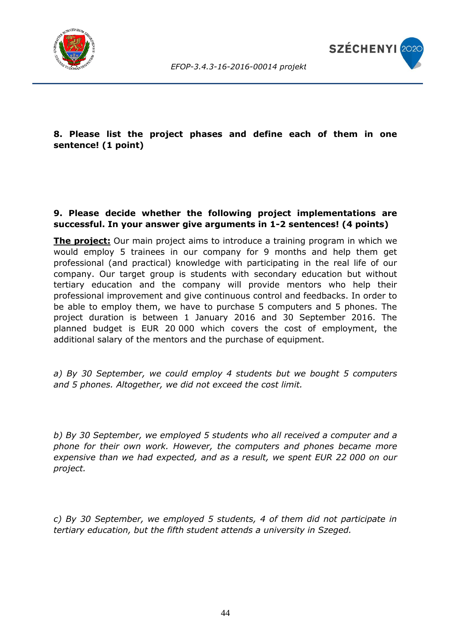



### **8. Please list the project phases and define each of them in one sentence! (1 point)**

#### **9. Please decide whether the following project implementations are successful. In your answer give arguments in 1-2 sentences! (4 points)**

**The project:** Our main project aims to introduce a training program in which we would employ 5 trainees in our company for 9 months and help them get professional (and practical) knowledge with participating in the real life of our company. Our target group is students with secondary education but without tertiary education and the company will provide mentors who help their professional improvement and give continuous control and feedbacks. In order to be able to employ them, we have to purchase 5 computers and 5 phones. The project duration is between 1 January 2016 and 30 September 2016. The planned budget is EUR 20 000 which covers the cost of employment, the additional salary of the mentors and the purchase of equipment.

*a) By 30 September, we could employ 4 students but we bought 5 computers and 5 phones. Altogether, we did not exceed the cost limit.*

*b) By 30 September, we employed 5 students who all received a computer and a phone for their own work. However, the computers and phones became more expensive than we had expected, and as a result, we spent EUR 22 000 on our project.*

*c) By 30 September, we employed 5 students, 4 of them did not participate in tertiary education, but the fifth student attends a university in Szeged.*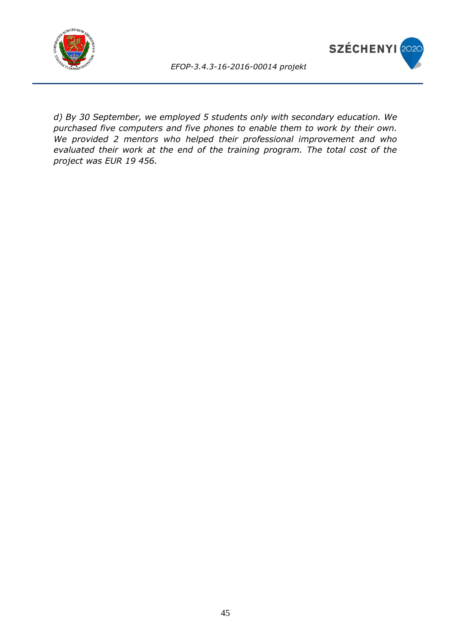



*d) By 30 September, we employed 5 students only with secondary education. We purchased five computers and five phones to enable them to work by their own. We provided 2 mentors who helped their professional improvement and who evaluated their work at the end of the training program. The total cost of the project was EUR 19 456.*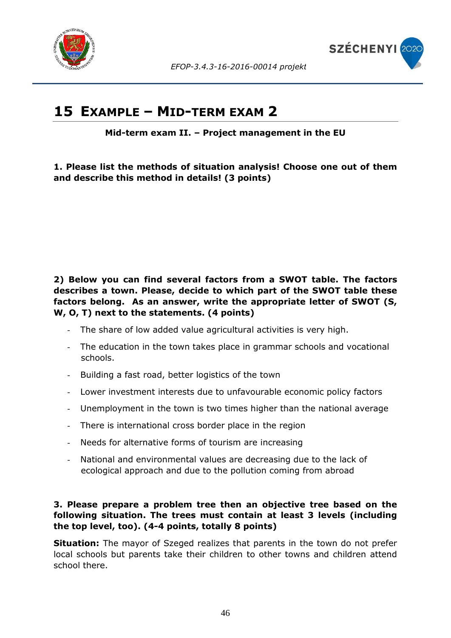



### <span id="page-45-0"></span>**15 EXAMPLE – MID-TERM EXAM 2**

**Mid-term exam II. – Project management in the EU**

**1. Please list the methods of situation analysis! Choose one out of them and describe this method in details! (3 points)**

### **2) Below you can find several factors from a SWOT table. The factors describes a town. Please, decide to which part of the SWOT table these factors belong. As an answer, write the appropriate letter of SWOT (S, W, O, T) next to the statements. (4 points)**

- The share of low added value agricultural activities is very high.
- The education in the town takes place in grammar schools and vocational schools.
- Building a fast road, better logistics of the town
- Lower investment interests due to unfavourable economic policy factors
- Unemployment in the town is two times higher than the national average
- There is international cross border place in the region
- Needs for alternative forms of tourism are increasing
- National and environmental values are decreasing due to the lack of ecological approach and due to the pollution coming from abroad

### **3. Please prepare a problem tree then an objective tree based on the following situation. The trees must contain at least 3 levels (including the top level, too). (4-4 points, totally 8 points)**

**Situation:** The mayor of Szeged realizes that parents in the town do not prefer local schools but parents take their children to other towns and children attend school there.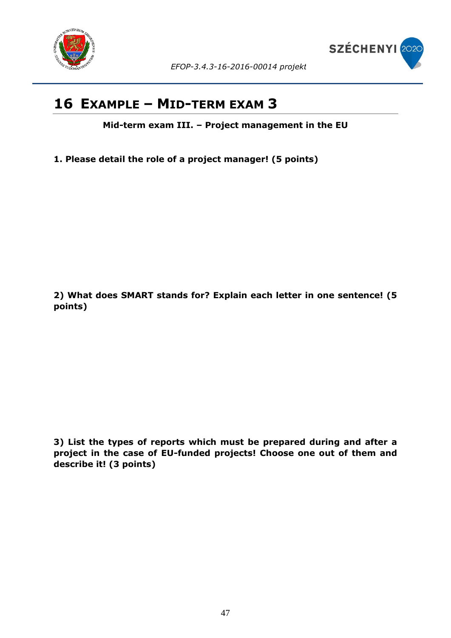



## <span id="page-46-0"></span>**16 EXAMPLE – MID-TERM EXAM 3**

**Mid-term exam III. – Project management in the EU**

**1. Please detail the role of a project manager! (5 points)**

**2) What does SMART stands for? Explain each letter in one sentence! (5 points)**

**3) List the types of reports which must be prepared during and after a project in the case of EU-funded projects! Choose one out of them and describe it! (3 points)**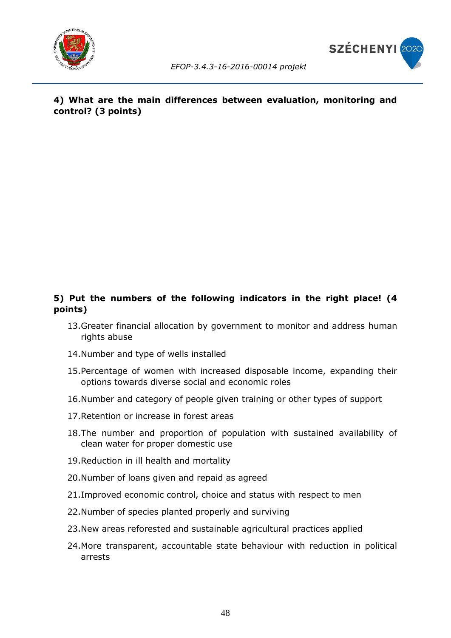



### **4) What are the main differences between evaluation, monitoring and control? (3 points)**

### **5) Put the numbers of the following indicators in the right place! (4 points)**

- 13.Greater financial allocation by government to monitor and address human rights abuse
- 14.Number and type of wells installed
- 15.Percentage of women with increased disposable income, expanding their options towards diverse social and economic roles
- 16.Number and category of people given training or other types of support
- 17.Retention or increase in forest areas
- 18.The number and proportion of population with sustained availability of clean water for proper domestic use
- 19.Reduction in ill health and mortality
- 20.Number of loans given and repaid as agreed
- 21.Improved economic control, choice and status with respect to men
- 22.Number of species planted properly and surviving
- 23.New areas reforested and sustainable agricultural practices applied
- 24.More transparent, accountable state behaviour with reduction in political arrests